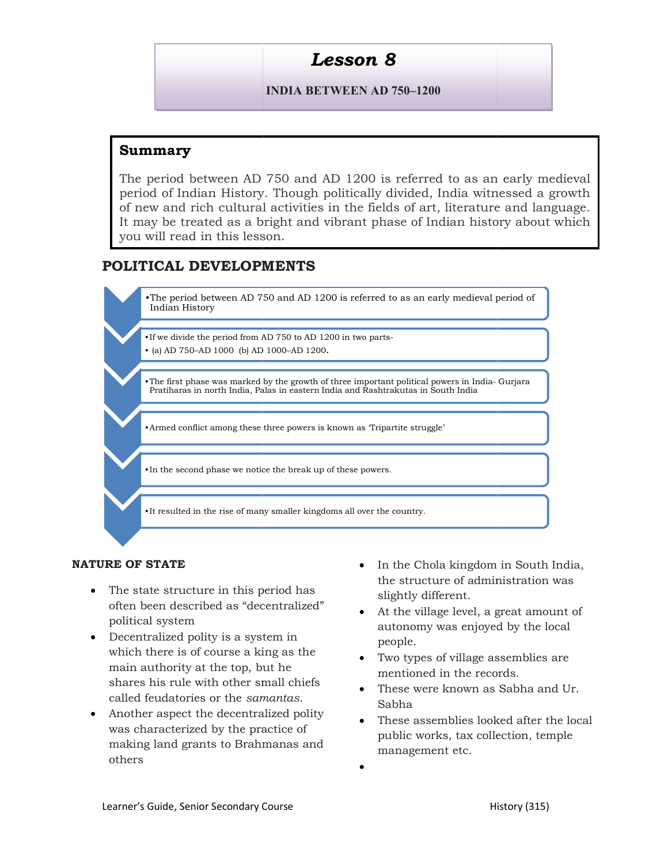# Lesson 8

### INDIA BETWEEN AD 750–1200

## Summary

The period between AD 750 and AD 1200 is referred to as an early medieval period of Indian History. Though politically divided, India witnessed a growth The period between AD 750 and AD 1200 is referred to as an early medieval<br>period of Indian History. Though politically divided, India witnessed a growth<br>of new and rich cultural activities in the fields of art, literature It may be treated as a bright and vibrant phase of Indian history about which you will read in this lesson.

# POLITICAL DEVELOPMENTS



#### NATURE OF STATE

- The state structure in this period has often been described as "decentralized" The state structure in this period has slightly define the solution of the vill political system<br>
political system becentralized polity is a system in a submomy<br>
which there is of course a king as the  $\frac{1}{2}$  Two types
- Decentralized polity is a system in which there is of course a king as the main authority at the top, but he shares his rule with other small chiefs called feudatories or the samantas.
- Another aspect the decentralized polity was characterized by the practice of multism making land grants to Brahmanas and others
- In the Chola kingdom in South India, the structure of administration was slightly different.
- political system autonomy was enjoyed by the local At the village level, a great amount of people.
	- Two types of village assemblies are mentioned in the records.
	- These were known as Sabha and Ur. Sabha
	- These assemblies looked after the local public works, tax collection, temple management etc.
	- $\bullet$  and  $\bullet$  and  $\bullet$  and  $\bullet$  and  $\bullet$  and  $\bullet$